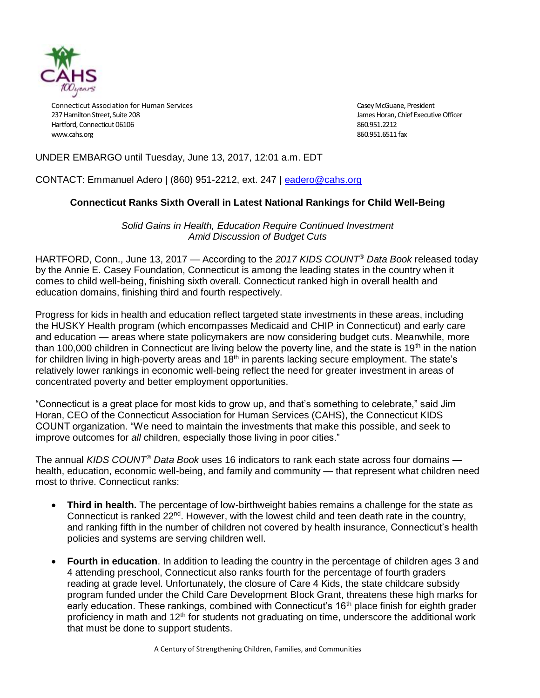

Connecticut Association for Human Services Casey McGuane, President Casey McGuane, President 237 Hamilton Street, Suite 208 James Horan, Chief Executive Officer Hartford, Connecticut 06106 860.951.2212 [www.cahs.org](http://www.cahs.org/) 860.951.6511 fax

# UNDER EMBARGO until Tuesday, June 13, 2017, 12:01 a.m. EDT

CONTACT: Emmanuel Adero | (860) 951-2212, ext. 247 | [eadero@cahs.org](mailto:eadero@cahs.org)

## **Connecticut Ranks Sixth Overall in Latest National Rankings for Child Well-Being**

*Solid Gains in Health, Education Require Continued Investment Amid Discussion of Budget Cuts*

HARTFORD, Conn., June 13, 2017 — According to the *2017 KIDS COUNT® Data Book* released today by the Annie E. Casey Foundation, Connecticut is among the leading states in the country when it comes to child well-being, finishing sixth overall. Connecticut ranked high in overall health and education domains, finishing third and fourth respectively.

Progress for kids in health and education reflect targeted state investments in these areas, including the HUSKY Health program (which encompasses Medicaid and CHIP in Connecticut) and early care and education — areas where state policymakers are now considering budget cuts. Meanwhile, more than 100,000 children in Connecticut are living below the poverty line, and the state is 19<sup>th</sup> in the nation for children living in high-poverty areas and 18<sup>th</sup> in parents lacking secure employment. The state's relatively lower rankings in economic well-being reflect the need for greater investment in areas of concentrated poverty and better employment opportunities.

"Connecticut is a great place for most kids to grow up, and that's something to celebrate," said Jim Horan, CEO of the Connecticut Association for Human Services (CAHS), the Connecticut KIDS COUNT organization. "We need to maintain the investments that make this possible, and seek to improve outcomes for *all* children, especially those living in poor cities."

The annual *KIDS COUNT® Data Book* uses 16 indicators to rank each state across four domains health, education, economic well-being, and family and community — that represent what children need most to thrive. Connecticut ranks:

- **Third in health.** The percentage of low-birthweight babies remains a challenge for the state as Connecticut is ranked  $22<sup>nd</sup>$ . However, with the lowest child and teen death rate in the country, and ranking fifth in the number of children not covered by health insurance, Connecticut's health policies and systems are serving children well.
- **Fourth in education**. In addition to leading the country in the percentage of children ages 3 and 4 attending preschool, Connecticut also ranks fourth for the percentage of fourth graders reading at grade level. Unfortunately, the closure of Care 4 Kids, the state childcare subsidy program funded under the Child Care Development Block Grant, threatens these high marks for early education. These rankings, combined with Connecticut's 16<sup>th</sup> place finish for eighth grader proficiency in math and  $12<sup>th</sup>$  for students not graduating on time, underscore the additional work that must be done to support students.